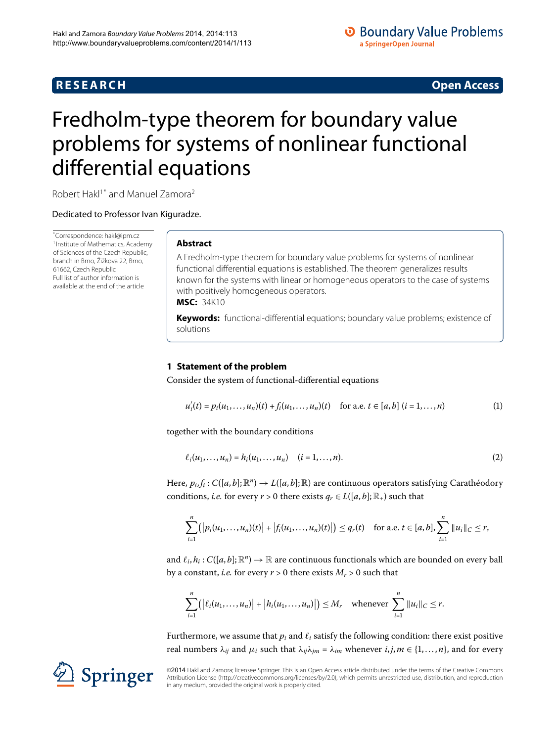# **R E S E A R C H Open Access**

## **O** Boundary Value Problems a SpringerOpen Journal

# <span id="page-0-0"></span>Fredholm-type theorem for boundary value problems for systems of nonlinear functional differential equations

Robert Hakl<sup>[1](#page-7-0)[\\*](#page-0-0)</sup> and Manuel Zamora<sup>[2](#page-7-1)</sup>

Dedicated to Professor Ivan Kiguradze.

\* Correspondence: [hakl@ipm.cz](mailto:hakl@ipm.cz) <sup>[1](#page-7-0)</sup> Institute of Mathematics, Academy of Sciences of the Czech Republic, branch in Brno, Žižkova 22, Brno, 61662, Czech Republic Full list of author information is available at the end of the article

## **Abstract**

A Fredholm-type theorem for boundary value problems for systems of nonlinear functional differential equations is established. The theorem generalizes results known for the systems with linear or homogeneous operators to the case of systems with positively homogeneous operators. **MSC:** 34K10

<span id="page-0-1"></span>**Keywords:** functional-differential equations; boundary value problems; existence of solutions

## **1 Statement of the problem**

Consider the system of functional-differential equations

<span id="page-0-2"></span>
$$
u'_{i}(t) = p_{i}(u_{1},...,u_{n})(t) + f_{i}(u_{1},...,u_{n})(t) \text{ for a.e. } t \in [a,b] \ (i=1,...,n)
$$
 (1)

together with the boundary conditions

$$
\ell_i(u_1, ..., u_n) = h_i(u_1, ..., u_n) \quad (i = 1, ..., n).
$$
 (2)

Here,  $p_i, f_i : C([a, b]; \mathbb{R}^n) \to L([a, b]; \mathbb{R})$  are continuous operators satisfying Carathéodory conditions, *i.e.* for every  $r > 0$  there exists  $q_r \in L([a, b]; \mathbb{R}_+)$  such that

$$
\sum_{i=1}^n (|p_i(u_1,\ldots,u_n)(t)|+|f_i(u_1,\ldots,u_n)(t)|) \leq q_r(t) \text{ for a.e. } t\in [a,b], \sum_{i=1}^n \|u_i\|_{C} \leq r,
$$

and  $\ell_i$ ,  $h_i$  :  $C([a, b]; \mathbb{R}^n) \to \mathbb{R}$  are continuous functionals which are bounded on every ball by a constant, *i.e.* for every  $r > 0$  there exists  $M_r > 0$  such that

$$
\sum_{i=1}^n (|\ell_i(u_1,\ldots,u_n)|+|h_i(u_1,\ldots,u_n)|)\leq M_r \quad \text{whenever} \ \sum_{i=1}^n \|u_i\|_C\leq r.
$$

Furthermore, we assume that  $p_i$  and  $\ell_i$  satisfy the following condition: there exist positive real numbers  $λ_{ij}$  and  $μ_i$  such that  $λ_{ij}λ_{jm} = λ_{im}$  whenever  $i, j, m \in \{1, ..., n\}$ , and for every

©2014 Hakl and Zamora; licensee Springer. This is an Open Access article distributed under the terms of the Creative Commons Attribution License [\(http://creativecommons.org/licenses/by/2.0](http://creativecommons.org/licenses/by/2.0)), which permits unrestricted use, distribution, and reproduction in any medium, provided the original work is properly cited.

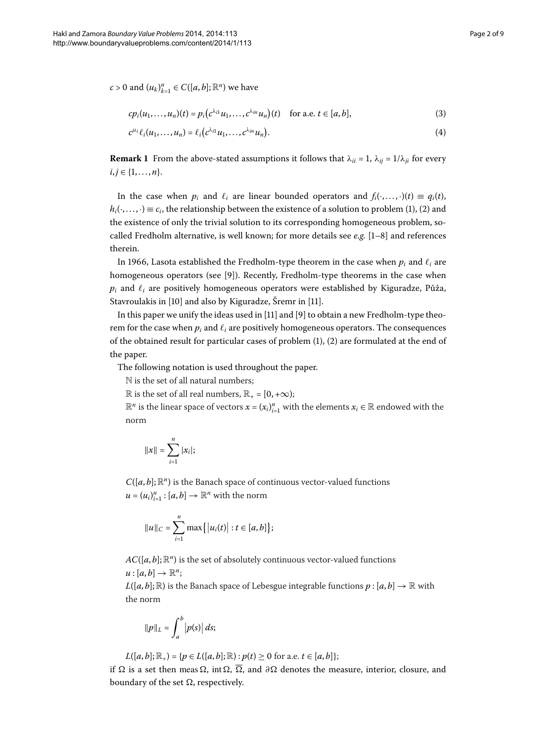$c > 0$  and  $(u_k)_{k=1}^n \in C([a, b]; \mathbb{R}^n)$  we have

<span id="page-1-1"></span><span id="page-1-0"></span>
$$
cp_i(u_1,...,u_n)(t) = p_i(c^{\lambda_{i1}}u_1,...,c^{\lambda_{in}}u_n)(t) \text{ for a.e. } t \in [a,b],
$$
 (3)

$$
c^{\mu_i} \ell_i(u_1,\ldots,u_n) = \ell_i\big(c^{\lambda_{i1}}u_1,\ldots,c^{\lambda_{in}}u_n\big).
$$
\n(4)

**Remark 1** From the above-stated assumptions it follows that  $\lambda_{ii} = 1$ ,  $\lambda_{ii} = 1/\lambda_{ii}$  for every  $i, j \in \{1, \ldots, n\}.$ 

In the case when  $p_i$  and  $\ell_i$  are linear bounded operators and  $f_i(\cdot,...,\cdot)(t) \equiv q_i(t)$ ,  $h_i(\cdot,\ldots,\cdot) \equiv c_i$  $h_i(\cdot,\ldots,\cdot) \equiv c_i$  $h_i(\cdot,\ldots,\cdot) \equiv c_i$ , the relationship between the existence of a solution to problem (1), (2) and the existence of only the trivial solution to its corresponding homogeneous problem, socalled Fredholm alternative, is well known; for more details see  $e.g.$   $[1-8]$  and references therein.

In 1966, Lasota established the Fredholm-type theorem in the case when  $p_i$  and  $\ell_i$  are homogeneous operators (see [\[](#page-8-1)9]). Recently, Fredholm-type theorems in the case when  $p_i$  and  $\ell_i$  are positively homogeneous operators were established by Kiguradze, Půža, Stavroulakis in  $[10]$  $[10]$  and also by Kiguradze, Šremr in  $[11]$ .

In this paper we unify the ideas used in  $[11]$  $[11]$  and  $[9]$  to obtain a new Fredholm-type theorem for the case when  $p_i$  and  $\ell_i$  are positively homogeneous operators. The consequences of the obtained result for particular cases of problem  $(1)$  $(1)$ ,  $(2)$  are formulated at the end of the paper.

The following notation is used throughout the paper.

N is the set of all natural numbers;

 $\mathbb R$  is the set of all real numbers,  $\mathbb R_+$  = [0, +∞);

 $\mathbb{R}^n$  is the linear space of vectors  $x = (x_i)_{i=1}^n$  with the elements  $x_i \in \mathbb{R}$  endowed with the norm

$$
||x|| = \sum_{i=1}^{n} |x_i|;
$$

 $C([a, b]; \mathbb{R}^n)$  is the Banach space of continuous vector-valued functions  $u = (u_i)_{i=1}^n : [a, b] \rightarrow \mathbb{R}^n$  with the norm

$$
||u||_C = \sum_{i=1}^n \max\{|u_i(t)| : t \in [a, b]\};
$$

 $AC([a, b]; \mathbb{R}^n)$  is the set of absolutely continuous vector-valued functions

$$
u:[a,b]\to\mathbb{R}^n;
$$

 $L([a, b]; \mathbb{R})$  is the Banach space of Lebesgue integrable functions  $p : [a, b] \to \mathbb{R}$  with the norm

$$
\|p\|_L = \int_a^b |p(s)| ds;
$$

 $L([a, b]; \mathbb{R}_+) = \{p \in L([a, b]; \mathbb{R}) : p(t) \ge 0 \text{ for a.e. } t \in [a, b]\};\$ 

if Ω is a set then meas Ω, int Ω,  $\overline{\Omega}$ , and  $\partial\Omega$  denotes the measure, interior, closure, and boundary of the set  $\Omega$ , respectively.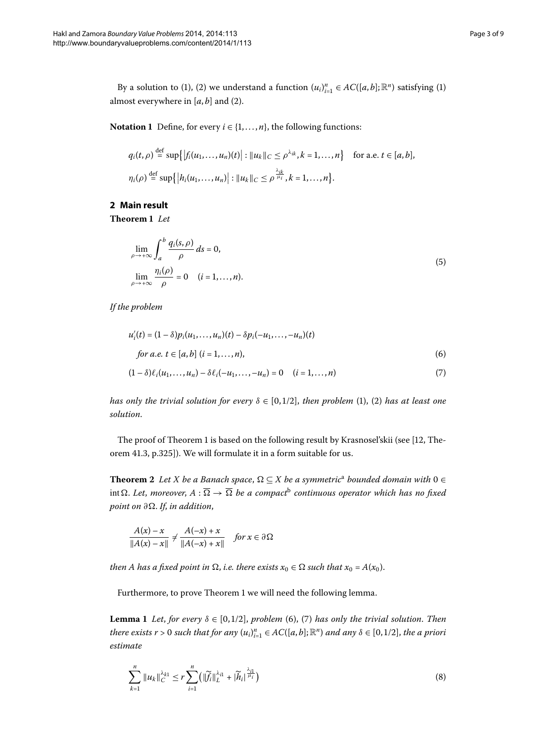<span id="page-2-6"></span><span id="page-2-0"></span>**Notation 1** Define, for every  $i \in \{1, ..., n\}$ , the following functions:

<span id="page-2-4"></span>
$$
q_i(t,\rho) \stackrel{\text{def}}{=} \sup \{|f_i(u_1,\ldots,u_n)(t)| : ||u_k||_C \leq \rho^{\lambda_{ik}}, k = 1,\ldots,n\} \quad \text{for a.e. } t \in [a,b],
$$
  

$$
\eta_i(\rho) \stackrel{\text{def}}{=} \sup \{|h_i(u_1,\ldots,u_n)| : ||u_k||_C \leq \rho^{\frac{\lambda_{ik}}{\mu_i}}, k = 1,\ldots,n\}.
$$

#### **2 Main result**

**Theorem 1** Let

<span id="page-2-2"></span><span id="page-2-1"></span>
$$
\lim_{\rho \to +\infty} \int_{a}^{b} \frac{q_i(s,\rho)}{\rho} ds = 0,
$$
\n
$$
\lim_{\rho \to +\infty} \frac{\eta_i(\rho)}{\rho} = 0 \quad (i = 1, ..., n).
$$
\n(5)

*If the problem*

$$
u'_{i}(t) = (1 - \delta)p_{i}(u_{1},...,u_{n})(t) - \delta p_{i}(-u_{1},...,u_{n})(t)
$$
  
for a.e.  $t \in [a, b]$  ( $i = 1,...,n$ ), (6)

$$
(1 - \delta)\ell_i(u_1, \dots, u_n) - \delta\ell_i(-u_1, \dots, -u_n) = 0 \quad (i = 1, \dots, n)
$$
\n(7)

<span id="page-2-5"></span>*has only the trivial solution for every*  $\delta \in [0, 1/2]$ , *then problem* [\(](#page-0-2)1), (2) *has at least one solution*.

The proof of Theorem 1 is based on the following result by Krasnosel'skii (see  $[12,$  $[12,$  Theorem 41.3, p.325]). We will formulate it in a form suitable for us.

**Theorem 2** *Let X be [a](#page-7-3) Banach space*,  $\Omega \subseteq X$  *be a symmetric<sup>a</sup> bounded domain with*  $0 \in$ int  $\Omega$ . Let, moreover,  $A : \overline{\Omega} \to \overline{\Omega}$  [b](#page-7-4)e a compact<sup>b</sup> continuous operator which has no fixed *point on ∂*. *If*, *in addition*,

$$
\frac{A(x)-x}{\|A(x)-x\|} \neq \frac{A(-x)+x}{\|A(-x)+x\|} \quad \text{for } x \in \partial \Omega
$$

<span id="page-2-3"></span>*then A has a fixed point in*  $\Omega$ *, i.e. there exists*  $x_0 \in \Omega$  *such that*  $x_0 = A(x_0)$ *.* 

Furthermore, to prove Theorem 1 we will need the following lemma.

**Lemma 1** Let, for every  $\delta \in [0, 1/2]$ , problem (6[\)](#page-2-2), (7) has only the trivial solution. Then *there exists r* > 0 *such that for any*  $(u_i)_{i=1}^n \in AC([a, b]; \mathbb{R}^n)$  *and any*  $\delta \in [0, 1/2]$ , *the a priori estimate*

$$
\sum_{k=1}^{n} \|u_{k}\|_{C}^{\lambda_{k1}} \leq r \sum_{i=1}^{n} \left(\|\widetilde{f}_{i}\|_{L}^{\lambda_{i1}} + |\widetilde{h}_{i}|^{\frac{\lambda_{i1}}{\mu_{i}}}\right) \tag{8}
$$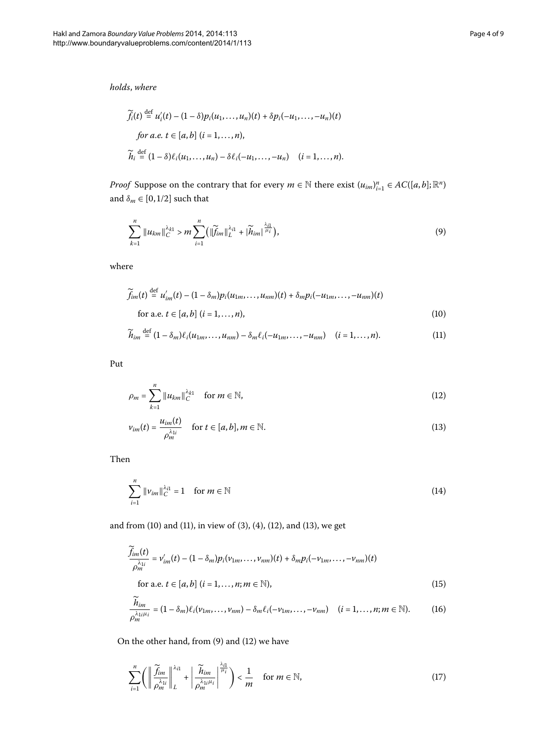*holds*, *where*

<span id="page-3-4"></span>
$$
\widetilde{f}_i(t) \stackrel{\text{def}}{=} u'_i(t) - (1 - \delta) p_i(u_1, \dots, u_n)(t) + \delta p_i(-u_1, \dots, -u_n)(t)
$$
\n
$$
\text{for a.e. } t \in [a, b] \ (i = 1, \dots, n),
$$
\n
$$
\widetilde{h}_i \stackrel{\text{def}}{=} (1 - \delta) \ell_i(u_1, \dots, u_n) - \delta \ell_i(-u_1, \dots, -u_n) \quad (i = 1, \dots, n).
$$

*Proof* Suppose on the contrary that for every  $m \in \mathbb{N}$  there exist  $(u_{im})_{i=1}^n \in AC([a, b]; \mathbb{R}^n)$ and  $\delta_m \in [0, 1/2]$  such that

<span id="page-3-1"></span><span id="page-3-0"></span>
$$
\sum_{k=1}^{n} \|u_{km}\|_{C}^{\lambda_{k1}} > m \sum_{i=1}^{n} \bigl( \|\widetilde{f}_{im}\|_{L}^{\lambda_{i1}} + |\widetilde{h}_{im}|^{\frac{\lambda_{i1}}{\mu_{i}}}\bigr), \tag{9}
$$

where

$$
\widetilde{f}_{im}(t) \stackrel{\text{def}}{=} u'_{im}(t) - (1 - \delta_m) p_i(u_{1m}, \dots, u_{nm})(t) + \delta_m p_i(-u_{1m}, \dots, -u_{nm})(t)
$$
\nfor a.e.  $t \in [a, b]$  ( $i = 1, \dots, n$ ),

\n(10)

<span id="page-3-3"></span><span id="page-3-2"></span>
$$
\widetilde{h}_{im} \stackrel{\text{def}}{=} (1 - \delta_m) \ell_i(u_{1m}, \dots, u_{nm}) - \delta_m \ell_i(-u_{1m}, \dots, -u_{nm}) \quad (i = 1, \dots, n). \tag{11}
$$

Put

$$
\rho_m = \sum_{k=1}^n \|u_{km}\|_C^{\lambda_{k1}} \quad \text{for } m \in \mathbb{N},\tag{12}
$$

<span id="page-3-5"></span>
$$
v_{im}(t) = \frac{u_{im}(t)}{\rho_m^{\lambda_{1i}}} \quad \text{for } t \in [a, b], m \in \mathbb{N}.
$$
 (13)

Then

<span id="page-3-6"></span>
$$
\sum_{i=1}^{n} \|\nu_{im}\|_{C}^{\lambda_{i1}} = 1 \quad \text{for } m \in \mathbb{N}
$$
 (14)

and from (10[\)](#page-3-1) and [\(](#page-1-0)11), in view of (3), (4), (12), and (13), we get

$$
\frac{\widetilde{f}_{im}(t)}{\rho_m^{\lambda_{1i}}} = \nu'_{im}(t) - (1 - \delta_m) p_i(\nu_{1m}, \dots, \nu_{nm})(t) + \delta_m p_i(-\nu_{1m}, \dots, -\nu_{nm})(t)
$$
\n
$$
\text{for a.e. } t \in [a, b] \ (i = 1, \dots, n; m \in \mathbb{N}), \tag{15}
$$

<span id="page-3-7"></span>
$$
\frac{\widetilde{h}_{im}}{\rho_m^{\lambda_{1i}\mu_i}} = (1 - \delta_m)\ell_i(\nu_{1m}, \dots, \nu_{nm}) - \delta_m\ell_i(-\nu_{1m}, \dots, -\nu_{nm}) \quad (i = 1, \dots, n; m \in \mathbb{N}).
$$
 (16)

On the other hand, from  $(9)$  $(9)$  and  $(12)$  we have

$$
\sum_{i=1}^{n} \left( \left\| \frac{\widetilde{f}_{im}}{\rho_m^{\lambda_{1i}}} \right\|_{L}^{\lambda_{11}} + \left| \frac{\widetilde{h}_{im}}{\rho_m^{\lambda_{1i}\mu_i}} \right|^{\frac{\lambda_{i1}}{\mu_i}} \right) < \frac{1}{m} \quad \text{for } m \in \mathbb{N}, \tag{17}
$$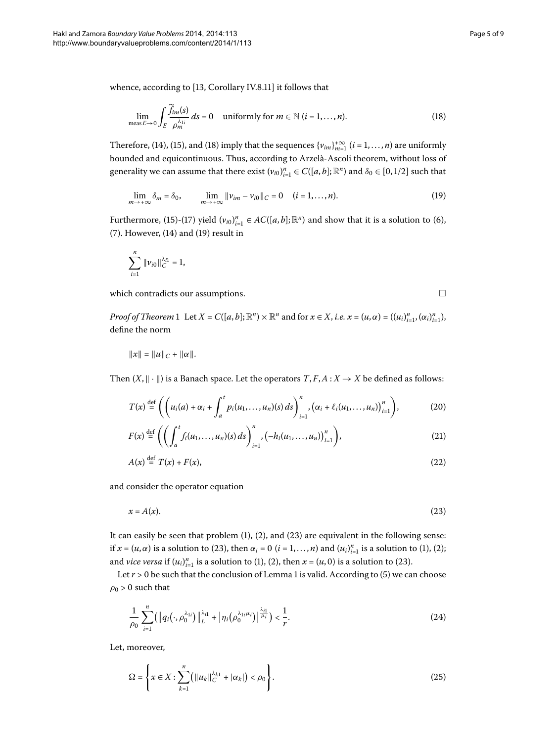whence, according to  $[13, Corollary IV.8.11]$  $[13, Corollary IV.8.11]$  it follows that

<span id="page-4-0"></span>
$$
\lim_{\text{meas}\,E \to 0} \int_{E} \frac{\widetilde{f}_{im}(s)}{\rho_{m}^{\lambda_{1i}}} \, ds = 0 \quad \text{uniformly for } m \in \mathbb{N} \, (i = 1, \dots, n). \tag{18}
$$

Therefore, (14[\)](#page-3-5), [\(](#page-4-0)15), and (18) imply that the sequences  $\{v_{im}\}_{m=1}^{+\infty}$  ( $i = 1, ..., n$ ) are uniformly bounded and equicontinuous. Thus, according to Arzelà-Ascoli theorem, without loss of generality we can assume that there exist  $(v_{i0})_{i=1}^n \in C([a,b];\mathbb{R}^n)$  and  $\delta_0 \in [0,1/2]$  such that

$$
\lim_{m \to +\infty} \delta_m = \delta_0, \qquad \lim_{m \to +\infty} ||v_{im} - v_{i0}||_C = 0 \quad (i = 1, \dots, n). \tag{19}
$$

Furthermore, [\(](#page-3-6)15)-(17) yield  $(v_{i0})_{i=1}^n \in AC([a, b]; \mathbb{R}^n)$  and show that it is a solution to (6),  $(7)$  $(7)$ . However,  $(14)$  $(14)$  and  $(19)$  result in

$$
\sum_{i=1}^n \|\nu_{i0}\|_C^{\lambda_{i1}} = 1,
$$

which contradicts our assumptions.

<span id="page-4-6"></span><span id="page-4-4"></span><span id="page-4-3"></span><span id="page-4-2"></span><span id="page-4-1"></span> $\Box$ 

*Proof of Theorem* 1 Let  $X = C([a, b]; \mathbb{R}^n) \times \mathbb{R}^n$  and for  $x \in X$ , *i.e.*  $x = (u, \alpha) = ((u_i)_{i=1}^n, (\alpha_i)_{i=1}^n)$ , define the norm

$$
||x|| = ||u||_C + ||\alpha||.
$$

Then  $(X, \|\cdot\|)$  is a Banach space. Let the operators  $T, F, A : X \to X$  be defined as follows:

$$
T(x) \stackrel{\text{def}}{=} \left( \left( u_i(a) + \alpha_i + \int_a^t p_i(u_1, \ldots, u_n)(s) \, ds \right)_{i=1}^n, \left( \alpha_i + \ell_i(u_1, \ldots, u_n) \right)_{i=1}^n \right), \tag{20}
$$

$$
F(x) \stackrel{\text{def}}{=} \left( \left( \int_{a}^{t} f_i(u_1, \dots, u_n)(s) \, ds \right)_{i=1}^{n}, \left( -h_i(u_1, \dots, u_n) \right)_{i=1}^{n} \right), \tag{21}
$$

$$
A(x) \stackrel{\text{def}}{=} T(x) + F(x),\tag{22}
$$

and consider the operator equation

$$
x = A(x). \tag{23}
$$

It can easily be seen that problem  $(1)$  $(1)$ ,  $(2)$  $(2)$ , and  $(23)$  are equivalent in the following sense: if  $x = (u, \alpha)$  $x = (u, \alpha)$  $x = (u, \alpha)$  $x = (u, \alpha)$  is a solution to (23), then  $\alpha_i = 0$  ( $i = 1, ..., n$ ) and  $(u_i)_{i=1}^n$  is a solution to (1), (2); and *vice versa* if  $(u_i)_{i=1}^n$  $(u_i)_{i=1}^n$  $(u_i)_{i=1}^n$  is a solution to [\(](#page-4-2)1), (2), then  $x = (u, 0)$  is a solution to (23).

Let  $r > 0$  be such that the conclusion of Lemma 1 is valid. According to (5[\)](#page-2-4) we can choose  $\rho_0 > 0$  such that

<span id="page-4-5"></span>
$$
\frac{1}{\rho_0} \sum_{i=1}^n \left( \left\| q_i(\cdot, \rho_0^{\lambda_{1i}}) \right\|_{L}^{\lambda_{i1}} + \left| \eta_i(\rho_0^{\lambda_{1i}\mu_i}) \right|^{\frac{\lambda_{i1}}{\mu_i}} \right) < \frac{1}{r}.\tag{24}
$$

Let, moreover,

$$
\Omega = \left\{ x \in X : \sum_{k=1}^{n} \left( \|u_k\|_{C}^{\lambda_{k1}} + |\alpha_k| \right) < \rho_0 \right\} . \tag{25}
$$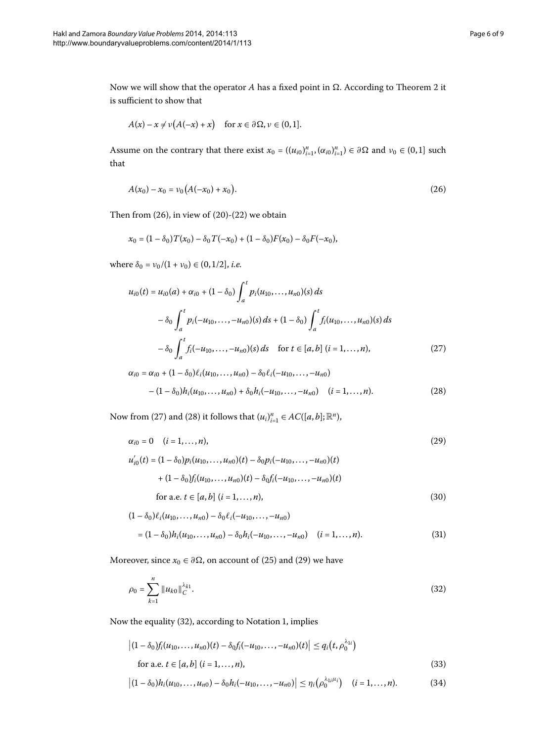Now we will show that the operator  $A$  has a fixed point in  $\Omega$ . According to Theorem 2 it is sufficient to show that

<span id="page-5-0"></span>
$$
A(x) - x \neq \nu (A(-x) + x) \quad \text{for } x \in \partial \Omega, \nu \in (0,1].
$$

Assume on the contrary that there exist  $x_0 = ((u_{i0})_{i=1}^n, (\alpha_{i0})_{i=1}^n) \in \partial\Omega$  and  $v_0 \in (0,1]$  such that

$$
A(x_0) - x_0 = \nu_0 (A(-x_0) + x_0).
$$
 (26)

Then from  $(26)$  $(26)$ , in view of  $(20)-(22)$  we obtain

$$
x_0 = (1 - \delta_0) T(x_0) - \delta_0 T(-x_0) + (1 - \delta_0) F(x_0) - \delta_0 F(-x_0),
$$

where  $\delta_0 = v_0/(1 + v_0) \in (0, 1/2]$ , *i.e.* 

<span id="page-5-2"></span><span id="page-5-1"></span>
$$
u_{i0}(t) = u_{i0}(a) + \alpha_{i0} + (1 - \delta_0) \int_a^t p_i(u_{10}, \dots, u_{n0})(s) ds
$$
  

$$
- \delta_0 \int_a^t p_i(-u_{10}, \dots, -u_{n0})(s) ds + (1 - \delta_0) \int_a^t f_i(u_{10}, \dots, u_{n0})(s) ds
$$
  

$$
- \delta_0 \int_a^t f_i(-u_{10}, \dots, -u_{n0})(s) ds \quad \text{for } t \in [a, b] \ (i = 1, \dots, n), \tag{27}
$$

<span id="page-5-3"></span>
$$
\alpha_{i0} = \alpha_{i0} + (1 - \delta_0) \ell_i(u_{10}, \dots, u_{n0}) - \delta_0 \ell_i(-u_{10}, \dots, -u_{n0})
$$

$$
- (1 - \delta_0) h_i(u_{10}, \dots, u_{n0}) + \delta_0 h_i(-u_{10}, \dots, -u_{n0}) \quad (i = 1, \dots, n). \tag{28}
$$

Now from [\(](#page-5-2)27) and (28) it follows that  $(u_i)_{i=1}^n \in AC([a, b]; \mathbb{R}^n)$ ,

<span id="page-5-5"></span>
$$
\alpha_{i0} = 0 \quad (i = 1, \dots, n), \tag{29}
$$

$$
u'_{i0}(t) = (1 - \delta_0) p_i(u_{10}, \dots, u_{n0})(t) - \delta_0 p_i(-u_{10}, \dots, -u_{n0})(t)
$$
  
+ 
$$
(1 - \delta_0) f_i(u_{10}, \dots, u_{n0})(t) - \delta_0 f_i(-u_{10}, \dots, -u_{n0})(t)
$$
  
for a.e.  $t \in [a, b]$   $(i = 1, \dots, n)$ , (30)

<span id="page-5-4"></span>
$$
(1 - \delta_0) \ell_i(u_{10}, \dots, u_{n0}) - \delta_0 \ell_i(-u_{10}, \dots, -u_{n0})
$$
  
=  $(1 - \delta_0) h_i(u_{10}, \dots, u_{n0}) - \delta_0 h_i(-u_{10}, \dots, -u_{n0})$  (*i* = 1, ..., *n*). (31)

Moreover, since  $x_0 \in \partial \Omega$ , on account of (25[\)](#page-4-5) and [\(](#page-5-3)29) we have

<span id="page-5-6"></span>
$$
\rho_0 = \sum_{k=1}^n \|u_{k0}\|_C^{\lambda_{k1}}.\tag{32}
$$

Now the equality (32[\)](#page-5-4), according to Notation 1, implies

$$
\left| (1 - \delta_0) f_i(u_{10}, \dots, u_{n0})(t) - \delta_0 f_i(-u_{10}, \dots, -u_{n0})(t) \right| \le q_i(t, \rho_0^{\lambda_{1i}})
$$
  
for a.e.  $t \in [a, b]$   $(i = 1, \dots, n),$  (33)

$$
\left| (1 - \delta_0) h_i(u_{10}, \dots, u_{n0}) - \delta_0 h_i(-u_{10}, \dots, -u_{n0}) \right| \le \eta_i(\rho_0^{\lambda_{1i}\mu_i}) \quad (i = 1, \dots, n). \tag{34}
$$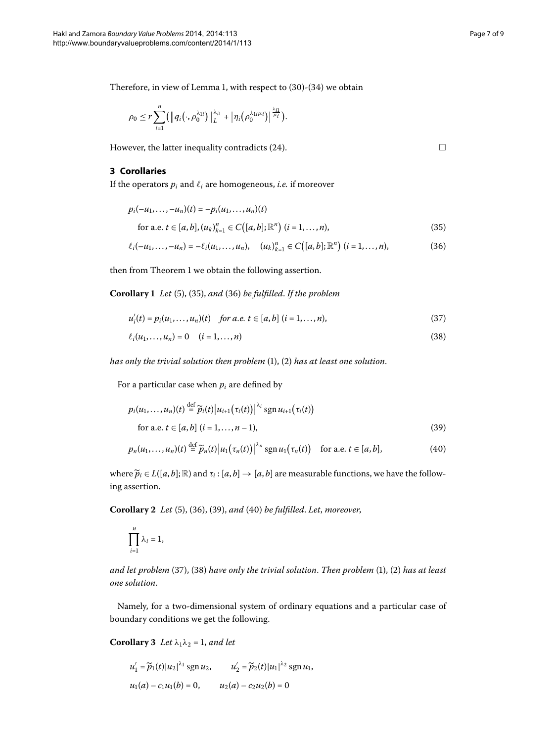Therefore[,](#page-2-3) in view of Lemma 1, with respect to  $(30)-(34)$  we obtain

$$
\rho_0 \leq r \sum_{i=1}^n (\big\|q_i(\cdot,\rho_0^{\lambda_{1i}})\big\|_L^{\lambda_{i1}} + \big|\eta_i(\rho_0^{\lambda_{1i}\mu_i})\big|^{\frac{\lambda_{i1}}{\mu_i}}.
$$

However, the latter inequality contradicts (24).

#### **3 Corollaries**

If the operators  $p_i$  and  $\ell_i$  are homogeneous, *i.e.* if moreover

$$
p_i(-u_1, \dots, -u_n)(t) = -p_i(u_1, \dots, u_n)(t)
$$
  
for a.e.  $t \in [a, b], (u_k)_{k=1}^n \in C([a, b]; \mathbb{R}^n)$   $(i = 1, \dots, n)$ , (35)

$$
\ell_i(-u_1,\ldots,-u_n) = -\ell_i(u_1,\ldots,u_n), \quad (u_k)_{k=1}^n \in C([a,b];\mathbb{R}^n) \ (i=1,\ldots,n),
$$
 (36)

then from Theorem 1 we obtain the following assertion.

**Corollary 1** *Let* [\(](#page-6-0)5), (35), and (36) be fulfilled. If the problem

$$
u'_{i}(t) = p_{i}(u_{1},...,u_{n})(t) \quad \text{for a.e. } t \in [a,b] \ (i=1,...,n), \tag{37}
$$

$$
\ell_i(u_1,\ldots,u_n)=0 \quad (i=1,\ldots,n) \tag{38}
$$

*has only the trivial solution then problem* [\(](#page-0-2)1), (2) *has at least one solution*.

For a particular case when  $p_i$  are defined by

$$
p_i(u_1,\ldots,u_n)(t) \stackrel{\text{def}}{=} \widetilde{p}_i(t) |u_{i+1}(\tau_i(t))|^{\lambda_i} \operatorname{sgn} u_{i+1}(\tau_i(t))
$$
  
for a.e.  $t \in [a,b]$   $(i = 1,\ldots,n-1)$ , (39)

$$
p_n(u_1,\ldots,u_n)(t) \stackrel{\text{def}}{=} \widetilde{p}_n(t) |u_1(\tau_n(t))|^{\lambda_n} \operatorname{sgn} u_1(\tau_n(t)) \quad \text{for a.e. } t \in [a,b], \tag{40}
$$

where  $\widetilde{p}_i \in L([a, b]; \mathbb{R})$  and  $\tau_i : [a, b] \to [a, b]$  are measurable functions, we have the following assertion.

**Corollary 2** Let [\(](#page-6-3)5), (36), (39), and (40) be fulfilled. Let, moreover,

$$
\prod_{i=1}^n \lambda_i = 1,
$$

<span id="page-6-6"></span>*and let problem* (37[\)](#page-0-2), (38) have only the trivial solution. Then problem (1), (2) has at least *one solution*.

Namely, for a two-dimensional system of ordinary equations and a particular case of boundary conditions we get the following.

**Corollary 3** Let  $\lambda_1 \lambda_2 = 1$ , and let

$$
u'_1 = \widetilde{p}_1(t)|u_2|^{\lambda_1} \operatorname{sgn} u_2, \qquad u'_2 = \widetilde{p}_2(t)|u_1|^{\lambda_2} \operatorname{sgn} u_1,
$$
  

$$
u_1(a) - c_1u_1(b) = 0, \qquad u_2(a) - c_2u_2(b) = 0
$$

<span id="page-6-5"></span><span id="page-6-4"></span><span id="page-6-3"></span><span id="page-6-2"></span><span id="page-6-1"></span><span id="page-6-0"></span> $\Box$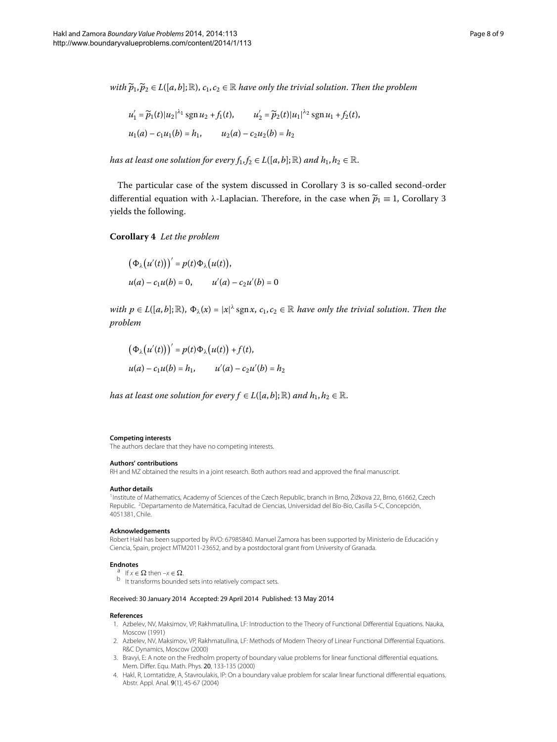*with*  $\widetilde{p}_1, \widetilde{p}_2 \in L([a, b]; \mathbb{R}), c_1, c_2 \in \mathbb{R}$  have only the trivial solution. Then the problem

$$
u'_1 = \widetilde{p}_1(t)|u_2|^{\lambda_1} \operatorname{sgn} u_2 + f_1(t), \qquad u'_2 = \widetilde{p}_2(t)|u_1|^{\lambda_2} \operatorname{sgn} u_1 + f_2(t),
$$
  

$$
u_1(a) - c_1 u_1(b) = h_1, \qquad u_2(a) - c_2 u_2(b) = h_2
$$

*has at least one solution for every*  $f_1, f_2 \in L([a, b]; \mathbb{R})$  *and*  $h_1, h_2 \in \mathbb{R}$ .

The particular case of the system discussed in Corollary 3 is so-called second-order differential equation with *λ*-Laplacian. Therefore, in the case when  $\tilde{p}_1 \equiv 1$ , Corollary 3 yields the following.

**Corollary**  *Let the problem*

$$
(\Phi_{\lambda}(u'(t)))' = p(t)\Phi_{\lambda}(u(t)),
$$
  
 
$$
u(a) - c_1u(b) = 0, \qquad u'(a) - c_2u'(b) = 0
$$

*with*  $p \in L([a, b]; \mathbb{R})$ ,  $\Phi_{\lambda}(x) = |x|^{\lambda} \text{sgn } x$ ,  $c_1, c_2 \in \mathbb{R}$  have only the trivial solution. Then the *problem*

$$
(\Phi_{\lambda}(u'(t)))' = p(t)\Phi_{\lambda}(u(t)) + f(t),
$$
  
 
$$
u(a) - c_1u(b) = h_1, \qquad u'(a) - c_2u'(b) = h_2
$$

<span id="page-7-0"></span>*has at least one solution for every*  $f \in L([a, b]; \mathbb{R})$  *and*  $h_1, h_2 \in \mathbb{R}$ *.* 

#### <span id="page-7-1"></span>**Competing interests**

**Authors' contributions**

The authors declare that they have no competing interests.

#### RH and MZ obtained the results in a joint research. Both authors read and approved the final manuscript.

#### <span id="page-7-3"></span>**Author details**

<span id="page-7-4"></span><sup>1</sup> Institute of Mathematics, Academy of Sciences of the Czech Republic, branch in Brno, Žižkova 22, Brno, 61662, Czech Republic. <sup>2</sup>Departamento de Matemática, Facultad de Ciencias, Universidad del Bío-Bío, Casilla 5-C, Concepción, 4051381, Chile.

#### **Acknowledgements**

<span id="page-7-2"></span>Robert Hakl has been supported by RVO: 67985840. Manuel Zamora has been supported by Ministerio de Educación y Ciencia, Spain, project MTM2011-23652, and by a postdoctoral grant from University of Granada.

**Endnotes**<br>
<sup>a</sup> If  $x \in \Omega$  then  $-x \in \Omega$ .<br>
<sup>b</sup> It transforms bounded sets into relatively compact sets.

#### Received: 30 January 2014 Accepted: 29 April 2014 Published: 13 May 2014

#### **References**

- 1. Azbelev, NV, Maksimov, VP, Rakhmatullina, LF: Introduction to the Theory of Functional Differential Equations. Nauka, Moscow (1991)
- 2. Azbelev, NV, Maksimov, VP, Rakhmatullina, LF: Methods of Modern Theory of Linear Functional Differential Equations. R&C Dynamics, Moscow (2000)
- 3. Bravyi, E: A note on the Fredholm property of boundary value problems for linear functional differential equations. Mem. Differ. Equ. Math. Phys. 20, 133-135 (2000)
- 4. Hakl, R, Lomtatidze, A, Stavroulakis, IP: On a boundary value problem for scalar linear functional differential equations. Abstr. Appl. Anal. 9(1), 45-67 (2004)